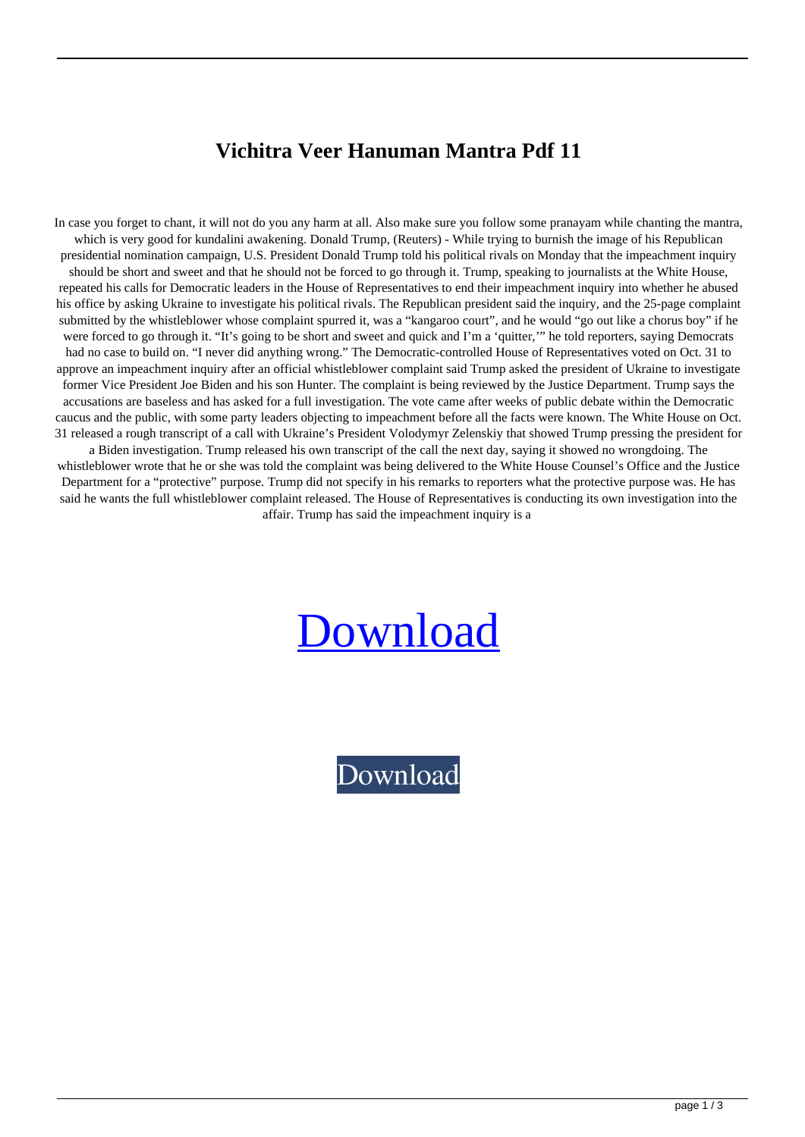## **Vichitra Veer Hanuman Mantra Pdf 11**

In case you forget to chant, it will not do you any harm at all. Also make sure you follow some pranayam while chanting the mantra, which is very good for kundalini awakening. Donald Trump, (Reuters) - While trying to burnish the image of his Republican presidential nomination campaign, U.S. President Donald Trump told his political rivals on Monday that the impeachment inquiry should be short and sweet and that he should not be forced to go through it. Trump, speaking to journalists at the White House, repeated his calls for Democratic leaders in the House of Representatives to end their impeachment inquiry into whether he abused his office by asking Ukraine to investigate his political rivals. The Republican president said the inquiry, and the 25-page complaint submitted by the whistleblower whose complaint spurred it, was a "kangaroo court", and he would "go out like a chorus boy" if he were forced to go through it. "It's going to be short and sweet and quick and I'm a 'quitter,'" he told reporters, saying Democrats had no case to build on. "I never did anything wrong." The Democratic-controlled House of Representatives voted on Oct. 31 to approve an impeachment inquiry after an official whistleblower complaint said Trump asked the president of Ukraine to investigate former Vice President Joe Biden and his son Hunter. The complaint is being reviewed by the Justice Department. Trump says the accusations are baseless and has asked for a full investigation. The vote came after weeks of public debate within the Democratic caucus and the public, with some party leaders objecting to impeachment before all the facts were known. The White House on Oct. 31 released a rough transcript of a call with Ukraine's President Volodymyr Zelenskiy that showed Trump pressing the president for a Biden investigation. Trump released his own transcript of the call the next day, saying it showed no wrongdoing. The whistleblower wrote that he or she was told the complaint was being delivered to the White House Counsel's Office and the Justice Department for a "protective" purpose. Trump did not specify in his remarks to reporters what the protective purpose was. He has said he wants the full whistleblower complaint released. The House of Representatives is conducting its own investigation into the

affair. Trump has said the impeachment inquiry is a

## [Download](http://evacdir.com/abated/gauss/VmljaGl0cmEgVmVlciBIYW51bWFuIE1hbnRyYSBQZGYgMTEVml/cassettes.ZG93bmxvYWR8TWI4TW1wbE4zeDhNVFkxTWpRMk16QTFNSHg4TWpVM05IeDhLRTBwSUhKbFlXUXRZbXh2WnlCYlJtRnpkQ0JIUlU1ZA/academe.cagrana/extractions)

[Download](http://evacdir.com/abated/gauss/VmljaGl0cmEgVmVlciBIYW51bWFuIE1hbnRyYSBQZGYgMTEVml/cassettes.ZG93bmxvYWR8TWI4TW1wbE4zeDhNVFkxTWpRMk16QTFNSHg4TWpVM05IeDhLRTBwSUhKbFlXUXRZbXh2WnlCYlJtRnpkQ0JIUlU1ZA/academe.cagrana/extractions)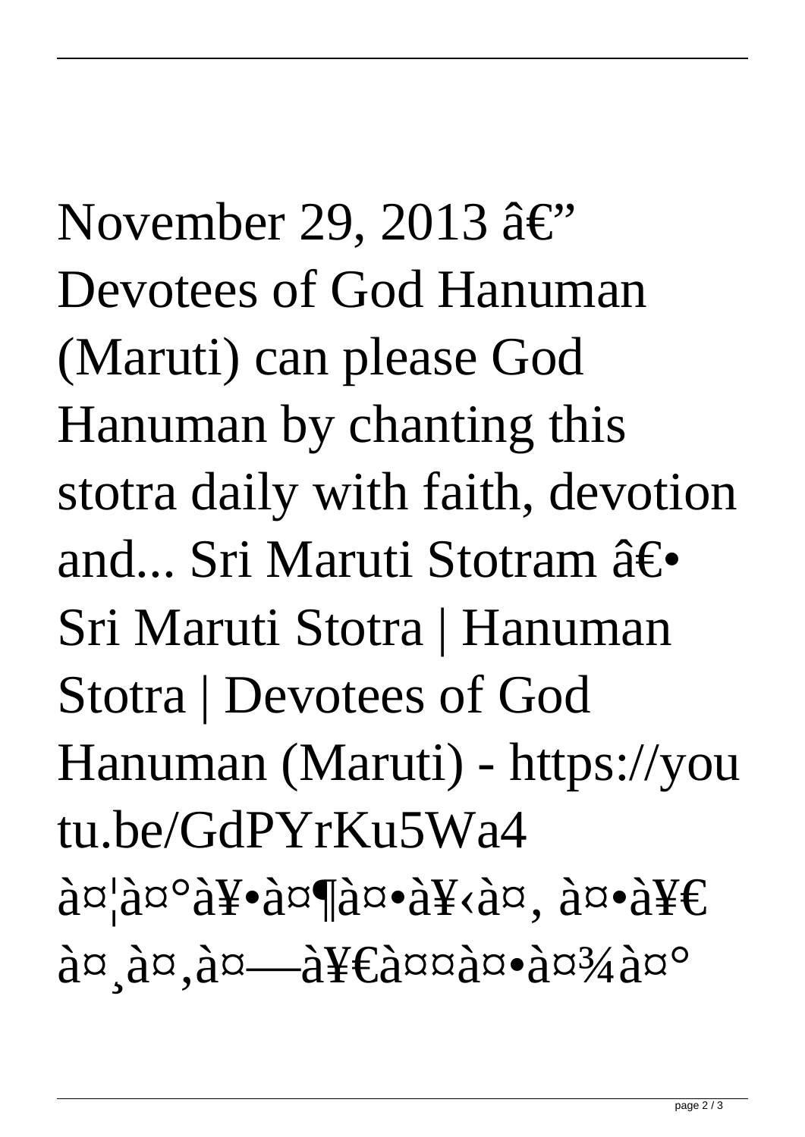November 29, 2013 â $\in$ " Devotees of God Hanuman (Maruti) can please God Hanuman by chanting this stotra daily with faith, devotion and... Sri Maruti Stotram  $\hat{a}\in\bullet$ Sri Maruti Stotra | Hanuman Stotra | Devotees of God Hanuman (Maruti) - https://you tu.be/GdPYrKu5Wa4  $\partial \alpha^{\alpha} \partial \alpha^{\beta}$ are  $\partial \alpha^{\beta}$ are  $\partial \alpha^{\beta} \partial \alpha^{\beta}$ are  $\partial \alpha^{\beta} \partial \alpha^{\beta}$  $a\alpha$ ,  $a\alpha$ ,  $a\alpha$  and  $a\alpha$  and  $a\alpha$  and  $a\alpha$  and  $a\alpha$